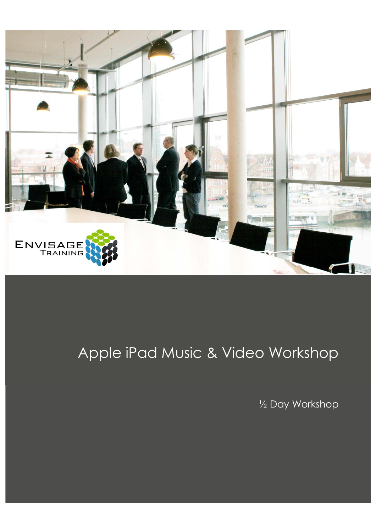

## Apple iPad Music & Video Workshop

½ Day Workshop